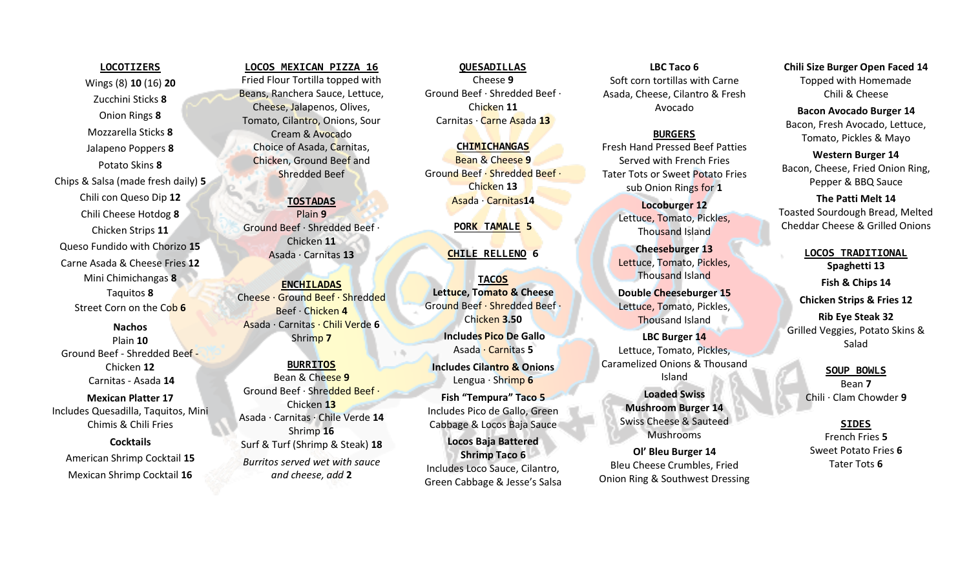Wings (8) **10** (16) **20** Zucchini Sticks **8** Onion Rings **8** Mozzarella Sticks **8** Jalapeno Poppers **8** Potato Skins **8** Chips & Salsa (made fresh daily) **5** Chili con Queso Dip **12** Chili Cheese Hotdog **8** Chicken Strips **11** Queso Fundido with Chorizo **15** Carne Asada & Cheese Fries **12** Mini Chimichangas **8** Taquitos **8** Street Corn on the Cob **6**

**LOCOTIZERS**

**Nachos**  Plain **10** Ground Beef - Shredded Beef - Chicken **12** Carnitas - Asada **14**

**Mexican Platter 17** Includes Quesadilla, Taquitos, Mini Chimis & Chili Fries

**Cocktails** American Shrimp Cocktail **15** Mexican Shrimp Cocktail **16**

**LOCOS MEXICAN PIZZA 16** Fried Flour Tortilla topped with Beans, Ranchera Sauce, Lettuce, Cheese, Jalapenos, Olives, Tomato, Cilantro, Onions, Sour Cream & Avocado Choice of Asada, Carnitas, Chicken, Ground Beef and Shredded Beef

**TOSTADAS** Plain **9** Ground Beef · Shredded Beef · Chicken **11**  Asada · Carnitas **13**

**ENCHILADAS** Cheese · Ground Beef · Shredded Beef · Chicken **4** Asada · Carnitas · Chili Verde **6**  Shrimp **7**

# **BURRITOS** Bean & Cheese **9** Ground Beef · Shredded Beef · Chicken **13** Asada · Carnitas · Chile Verde **14** Shrimp **16** Surf & Turf (Shrimp & Steak) **18** *Burritos served wet with sauce and cheese, add* **2**

**QUESADILLAS** Cheese **9** Ground Beef · Shredded Beef · Chicken **11** Carnitas · Carne Asada **13**

**CHIMICHANGAS** Bean & Cheese **9** Ground Beef · Shredded Beef · Chicken **13** Asada · Carnitas**14**

### **PORK TAMALE 5**

## **CHILE RELLENO 6**

**TACOS Lettuce, Tomato & Cheese** Ground Beef · Shredded Beef · Chicken **3.50**

**Includes Pico De Gallo** Asada · Carnitas **5**

**Includes Cilantro & Onions** Lengua · Shrimp **6**

**Fish "Tempura" Taco 5** Includes Pico de Gallo, Green Cabbage & Locos Baja Sauce

**Locos Baja Battered Shrimp Taco 6** Includes Loco Sauce, Cilantro, Green Cabbage & Jesse's Salsa

**LBC Taco 6** Soft corn tortillas with Carne Asada, Cheese, Cilantro & Fresh Avocado

## **BURGERS**

Fresh Hand Pressed Beef Patties Served with French Fries Tater Tots or Sweet Potato Fries sub Onion Rings for **1** 

> **Locoburger 12** Lettuce, Tomato, Pickles, Thousand Island

**Cheeseburger 13** Lettuce, Tomato, Pickles, Thousand Island

**Double Cheeseburger 15** Lettuce, Tomato, Pickles, Thousand Island

**LBC Burger 14** Lettuce, Tomato, Pickles, Caramelized Onions & Thousand Island **Loaded Swiss Mushroom Burger 14** Swiss Cheese & Sauteed Mushrooms

**Ol' Bleu Burger 14** Bleu Cheese Crumbles, Fried Onion Ring & Southwest Dressing **Chili Size Burger Open Faced 14** Topped with Homemade Chili & Cheese

**Bacon Avocado Burger 14** Bacon, Fresh Avocado, Lettuce, Tomato, Pickles & Mayo

**Western Burger 14** Bacon, Cheese, Fried Onion Ring, Pepper & BBQ Sauce

#### **The Patti Melt 14**

Toasted Sourdough Bread, Melted Cheddar Cheese & Grilled Onions

> **LOCOS TRADITIONAL Spaghetti 13 Fish & Chips 14**

**Chicken Strips & Fries 12**

**Rib Eye Steak 32** Grilled Veggies, Potato Skins & Salad

> **SOUP BOWLS**  Bean **7** Chili · Clam Chowder **9**

#### **SIDES**

French Fries **5** Sweet Potato Fries **6** Tater Tots **6**